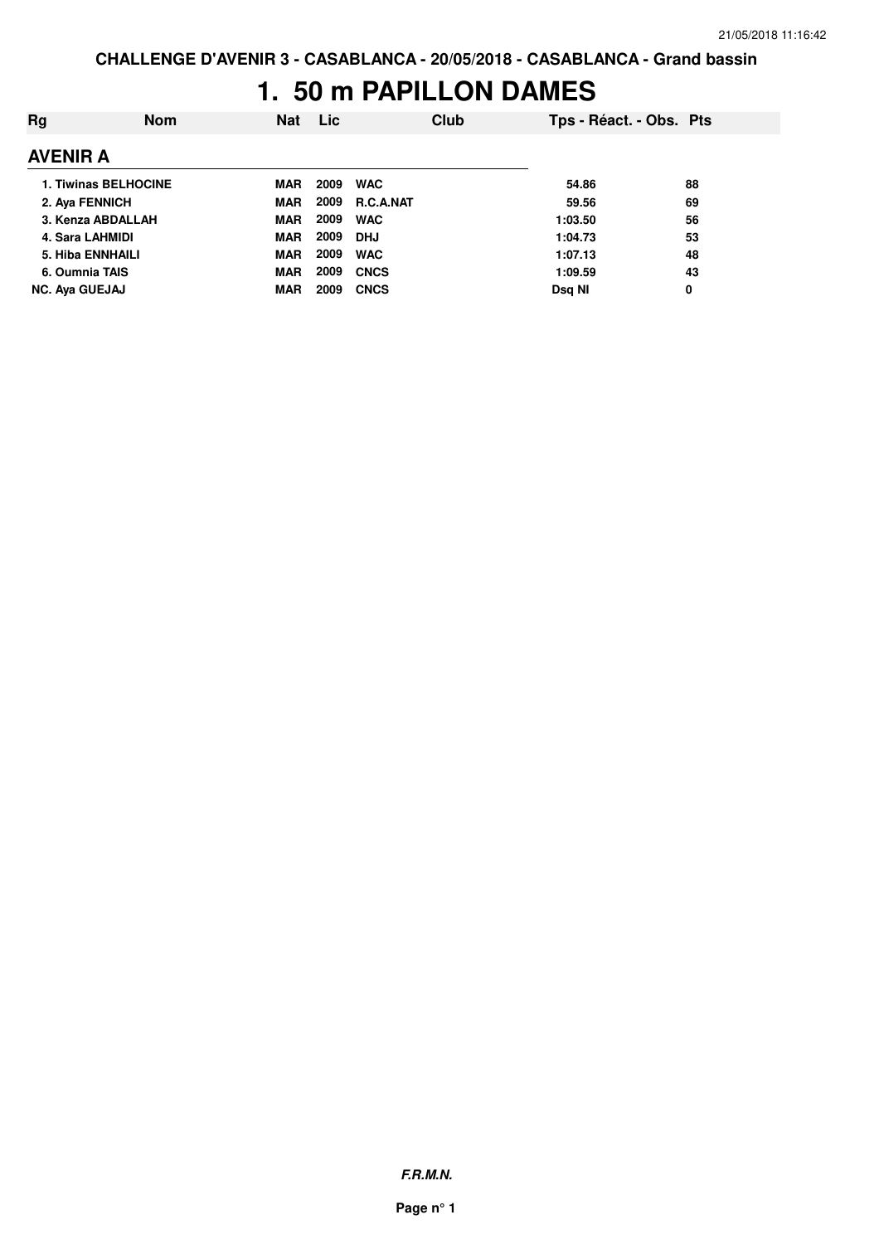## **1. 50 m PAPILLON DAMES**

| Rg                          | <b>Nom</b> | <b>Nat</b> | <b>Lic</b> |                  | Club | Tps - Réact. - Obs. Pts |    |
|-----------------------------|------------|------------|------------|------------------|------|-------------------------|----|
| <b>AVENIR A</b>             |            |            |            |                  |      |                         |    |
| <b>1. Tiwinas BELHOCINE</b> |            | MAR        | 2009       | <b>WAC</b>       |      | 54.86                   | 88 |
| 2. Aya FENNICH              |            | MAR        | 2009       | <b>R.C.A.NAT</b> |      | 59.56                   | 69 |
| 3. Kenza ABDALLAH           |            | <b>MAR</b> | 2009       | <b>WAC</b>       |      | 1:03.50                 | 56 |
| 4. Sara LAHMIDI             |            | <b>MAR</b> | 2009       | <b>DHJ</b>       |      | 1:04.73                 | 53 |
| 5. Hiba ENNHAILI            |            | <b>MAR</b> | 2009       | <b>WAC</b>       |      | 1:07.13                 | 48 |
| 6. Oumnia TAIS              |            | <b>MAR</b> | 2009       | <b>CNCS</b>      |      | 1:09.59                 | 43 |
| <b>NC. Aya GUEJAJ</b>       |            | <b>MAR</b> | 2009       | <b>CNCS</b>      |      | Dsg NI                  | 0  |

**F.R.M.N.**

**Page n° 1**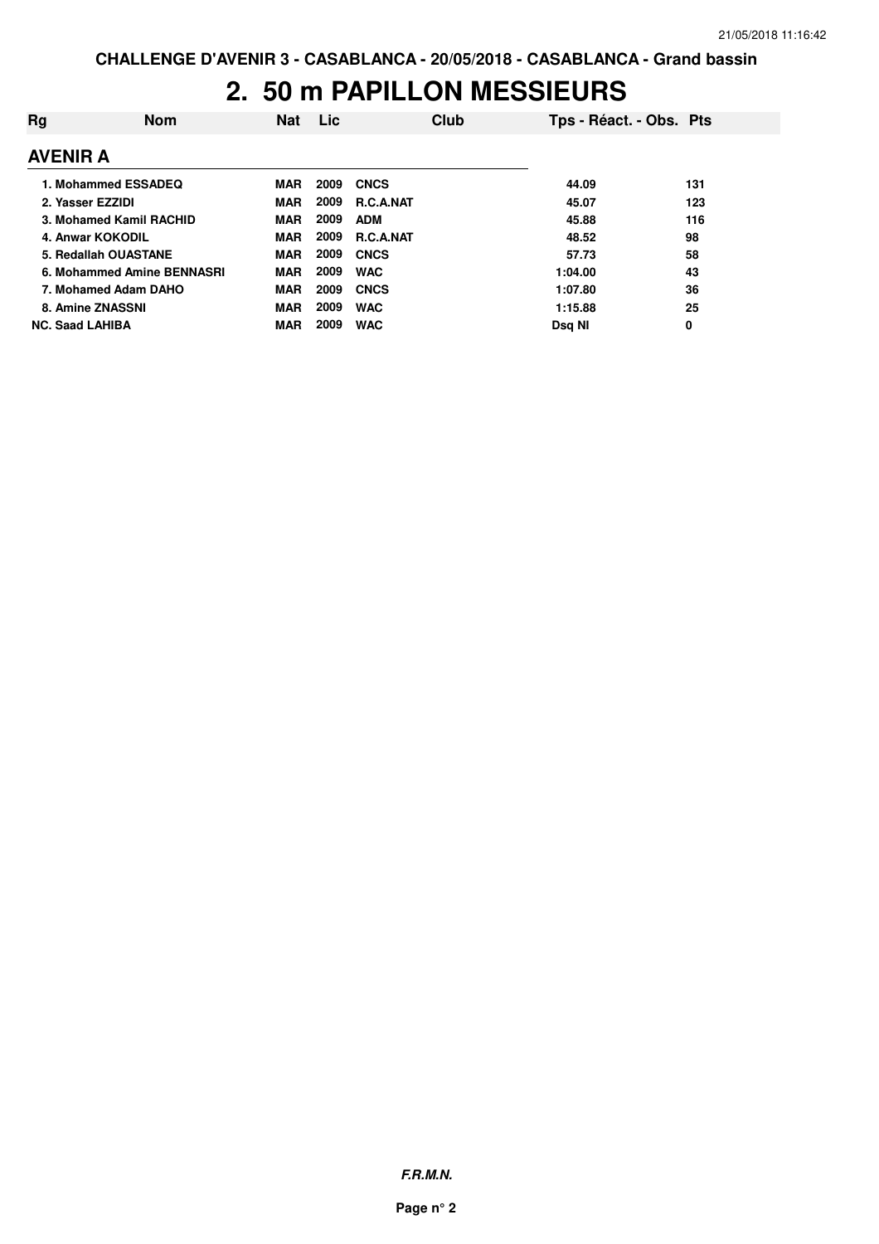# **2. 50 m PAPILLON MESSIEURS**

| Rg                     | <b>Nom</b>                 | <b>Nat</b> | Lic  | Club             | Tps - Réact. - Obs. Pts |     |
|------------------------|----------------------------|------------|------|------------------|-------------------------|-----|
| <b>AVENIR A</b>        |                            |            |      |                  |                         |     |
|                        | 1. Mohammed ESSADEQ        | <b>MAR</b> | 2009 | <b>CNCS</b>      | 44.09                   | 131 |
|                        | 2. Yasser EZZIDI           | <b>MAR</b> | 2009 | <b>R.C.A.NAT</b> | 45.07                   | 123 |
|                        | 3. Mohamed Kamil RACHID    | <b>MAR</b> | 2009 | <b>ADM</b>       | 45.88                   | 116 |
|                        | 4. Anwar KOKODIL           | <b>MAR</b> | 2009 | <b>R.C.A.NAT</b> | 48.52                   | 98  |
|                        | 5. Redallah OUASTANE       | <b>MAR</b> | 2009 | <b>CNCS</b>      | 57.73                   | 58  |
|                        | 6. Mohammed Amine BENNASRI | <b>MAR</b> | 2009 | <b>WAC</b>       | 1:04.00                 | 43  |
|                        | 7. Mohamed Adam DAHO       | <b>MAR</b> | 2009 | <b>CNCS</b>      | 1:07.80                 | 36  |
|                        | 8. Amine ZNASSNI           | <b>MAR</b> | 2009 | <b>WAC</b>       | 1:15.88                 | 25  |
| <b>NC. Saad LAHIBA</b> |                            | <b>MAR</b> | 2009 | <b>WAC</b>       | Dsa NI                  | 0   |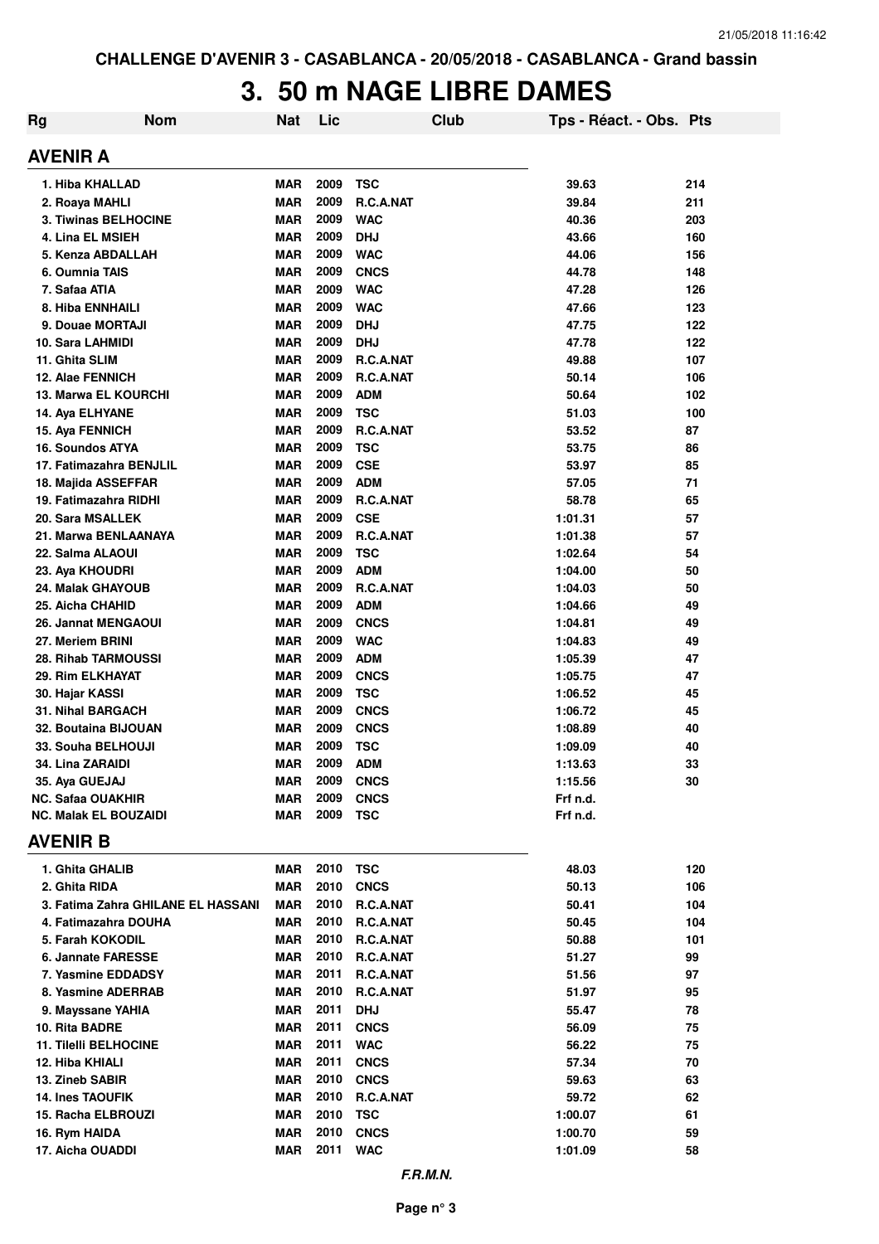# **3. 50 m NAGE LIBRE DAMES**

|    |                                    | J. | JU         |      |             | <u>III NAVL LIDNL DAMLJ</u> |          |                         |     |
|----|------------------------------------|----|------------|------|-------------|-----------------------------|----------|-------------------------|-----|
| Rg | <b>Nom</b>                         |    | <b>Nat</b> | Lic  |             | <b>Club</b>                 |          | Tps - Réact. - Obs. Pts |     |
|    | AVENIR A                           |    |            |      |             |                             |          |                         |     |
|    | 1. Hiba KHALLAD                    |    | MAR        | 2009 | <b>TSC</b>  |                             |          | 39.63                   | 214 |
|    | 2. Roaya MAHLI                     |    | <b>MAR</b> | 2009 | R.C.A.NAT   |                             |          | 39.84                   | 211 |
|    | 3. Tiwinas BELHOCINE               |    | <b>MAR</b> | 2009 | <b>WAC</b>  |                             |          | 40.36                   | 203 |
|    | 4. Lina EL MSIEH                   |    | <b>MAR</b> | 2009 | <b>DHJ</b>  |                             |          | 43.66                   | 160 |
|    | 5. Kenza ABDALLAH                  |    | <b>MAR</b> | 2009 | <b>WAC</b>  |                             |          | 44.06                   | 156 |
|    | 6. Oumnia TAIS                     |    | <b>MAR</b> | 2009 | <b>CNCS</b> |                             |          | 44.78                   | 148 |
|    | 7. Safaa ATIA                      |    | MAR        | 2009 | <b>WAC</b>  |                             |          | 47.28                   | 126 |
|    | <b>8. Hiba ENNHAILI</b>            |    | MAR        | 2009 | <b>WAC</b>  |                             |          | 47.66                   | 123 |
|    | 9. Douae MORTAJI                   |    | <b>MAR</b> | 2009 | <b>DHJ</b>  |                             |          | 47.75                   | 122 |
|    | 10. Sara LAHMIDI                   |    | <b>MAR</b> | 2009 | <b>DHJ</b>  |                             |          | 47.78                   | 122 |
|    | 11. Ghita SLIM                     |    | <b>MAR</b> | 2009 | R.C.A.NAT   |                             |          | 49.88                   | 107 |
|    | <b>12. Alae FENNICH</b>            |    | <b>MAR</b> | 2009 | R.C.A.NAT   |                             |          | 50.14                   | 106 |
|    | <b>13. Marwa EL KOURCHI</b>        |    | MAR        | 2009 | <b>ADM</b>  |                             |          | 50.64                   | 102 |
|    | 14. Aya ELHYANE                    |    | MAR        | 2009 | <b>TSC</b>  |                             |          | 51.03                   | 100 |
|    | 15. Aya FENNICH                    |    | <b>MAR</b> | 2009 | R.C.A.NAT   |                             |          | 53.52                   | 87  |
|    | 16. Soundos ATYA                   |    | <b>MAR</b> | 2009 | <b>TSC</b>  |                             |          | 53.75                   | 86  |
|    | 17. Fatimazahra BENJLIL            |    | <b>MAR</b> | 2009 | <b>CSE</b>  |                             |          | 53.97                   | 85  |
|    | 18. Majida ASSEFFAR                |    | <b>MAR</b> | 2009 | <b>ADM</b>  |                             |          | 57.05                   | 71  |
|    | 19. Fatimazahra RIDHI              |    | <b>MAR</b> | 2009 | R.C.A.NAT   |                             |          | 58.78                   | 65  |
|    | 20. Sara MSALLEK                   |    | <b>MAR</b> | 2009 | <b>CSE</b>  |                             | 1:01.31  |                         | 57  |
|    | 21. Marwa BENLAANAYA               |    | <b>MAR</b> | 2009 | R.C.A.NAT   |                             | 1:01.38  |                         | 57  |
|    | 22. Salma ALAOUI                   |    | <b>MAR</b> | 2009 | <b>TSC</b>  |                             | 1:02.64  |                         | 54  |
|    | 23. Aya KHOUDRI                    |    | <b>MAR</b> | 2009 | <b>ADM</b>  |                             | 1:04.00  |                         | 50  |
|    | 24. Malak GHAYOUB                  |    | <b>MAR</b> | 2009 | R.C.A.NAT   |                             | 1:04.03  |                         | 50  |
|    | 25. Aicha CHAHID                   |    | <b>MAR</b> | 2009 | <b>ADM</b>  |                             | 1:04.66  |                         | 49  |
|    | 26. Jannat MENGAOUI                |    | <b>MAR</b> | 2009 | <b>CNCS</b> |                             | 1:04.81  |                         | 49  |
|    | 27. Meriem BRINI                   |    | <b>MAR</b> | 2009 | <b>WAC</b>  |                             | 1:04.83  |                         | 49  |
|    | <b>28. Rihab TARMOUSSI</b>         |    | <b>MAR</b> | 2009 | <b>ADM</b>  |                             | 1:05.39  |                         | 47  |
|    | 29. Rim ELKHAYAT                   |    | <b>MAR</b> | 2009 | <b>CNCS</b> |                             | 1:05.75  |                         | 47  |
|    | 30. Hajar KASSI                    |    | MAR        | 2009 | <b>TSC</b>  |                             | 1:06.52  |                         | 45  |
|    | 31. Nihal BARGACH                  |    | <b>MAR</b> | 2009 | <b>CNCS</b> |                             | 1:06.72  |                         | 45  |
|    | 32. Boutaina BIJOUAN               |    | <b>MAR</b> | 2009 | <b>CNCS</b> |                             | 1:08.89  |                         | 40  |
|    | 33. Souha BELHOUJI                 |    | <b>MAR</b> | 2009 | <b>TSC</b>  |                             | 1:09.09  |                         | 40  |
|    | 34. Lina ZARAIDI                   |    | <b>MAR</b> | 2009 | <b>ADM</b>  |                             | 1:13.63  |                         | 33  |
|    | 35. Aya GUEJAJ                     |    | <b>MAR</b> | 2009 | <b>CNCS</b> |                             | 1:15.56  |                         | 30  |
|    | <b>NC. Safaa OUAKHIR</b>           |    | MAR        | 2009 | <b>CNCS</b> |                             | Frf n.d. |                         |     |
|    | <b>NC. Malak EL BOUZAIDI</b>       |    | MAR        | 2009 | <b>TSC</b>  |                             | Frf n.d. |                         |     |
|    | <b>AVENIR B</b>                    |    |            |      |             |                             |          |                         |     |
|    | 1. Ghita GHALIB                    |    | MAR        | 2010 | <b>TSC</b>  |                             |          | 48.03                   | 120 |
|    | 2. Ghita RIDA                      |    | MAR        | 2010 | <b>CNCS</b> |                             |          | 50.13                   | 106 |
|    | 3. Fatima Zahra GHILANE EL HASSANI |    | MAR        | 2010 | R.C.A.NAT   |                             |          | 50.41                   | 104 |
|    | 4. Fatimazahra DOUHA               |    | MAR        | 2010 | R.C.A.NAT   |                             |          | 50.45                   | 104 |
|    | 5. Farah KOKODIL                   |    | MAR        | 2010 | R.C.A.NAT   |                             |          | 50.88                   | 101 |
|    | 6. Jannate FARESSE                 |    | MAR        | 2010 | R.C.A.NAT   |                             |          | 51.27                   | 99  |
|    | 7. Yasmine EDDADSY                 |    | MAR        | 2011 | R.C.A.NAT   |                             |          | 51.56                   | 97  |
|    | 8. Yasmine ADERRAB                 |    | MAR        | 2010 | R.C.A.NAT   |                             |          | 51.97                   | 95  |
|    | 9. Mayssane YAHIA                  |    | MAR        | 2011 | <b>DHJ</b>  |                             |          | 55.47                   | 78  |
|    | 10. Rita BADRE                     |    | MAR        | 2011 | <b>CNCS</b> |                             |          | 56.09                   | 75  |
|    | <b>11. Tilelli BELHOCINE</b>       |    | MAR        | 2011 | <b>WAC</b>  |                             |          | 56.22                   | 75  |
|    | 12. Hiba KHIALI                    |    | MAR        | 2011 | <b>CNCS</b> |                             |          | 57.34                   | 70  |
|    | 13. Zineb SABIR                    |    | MAR        | 2010 | <b>CNCS</b> |                             |          | 59.63                   | 63  |
|    | <b>14. Ines TAOUFIK</b>            |    | MAR        | 2010 | R.C.A.NAT   |                             |          | 59.72                   | 62  |
|    | 15. Racha ELBROUZI                 |    | MAR        | 2010 | <b>TSC</b>  |                             | 1:00.07  |                         | 61  |
|    | 16. Rym HAIDA                      |    | MAR        | 2010 | <b>CNCS</b> |                             | 1:00.70  |                         | 59  |
|    | 17. Aicha OUADDI                   |    | MAR        | 2011 | <b>WAC</b>  |                             | 1:01.09  |                         | 58  |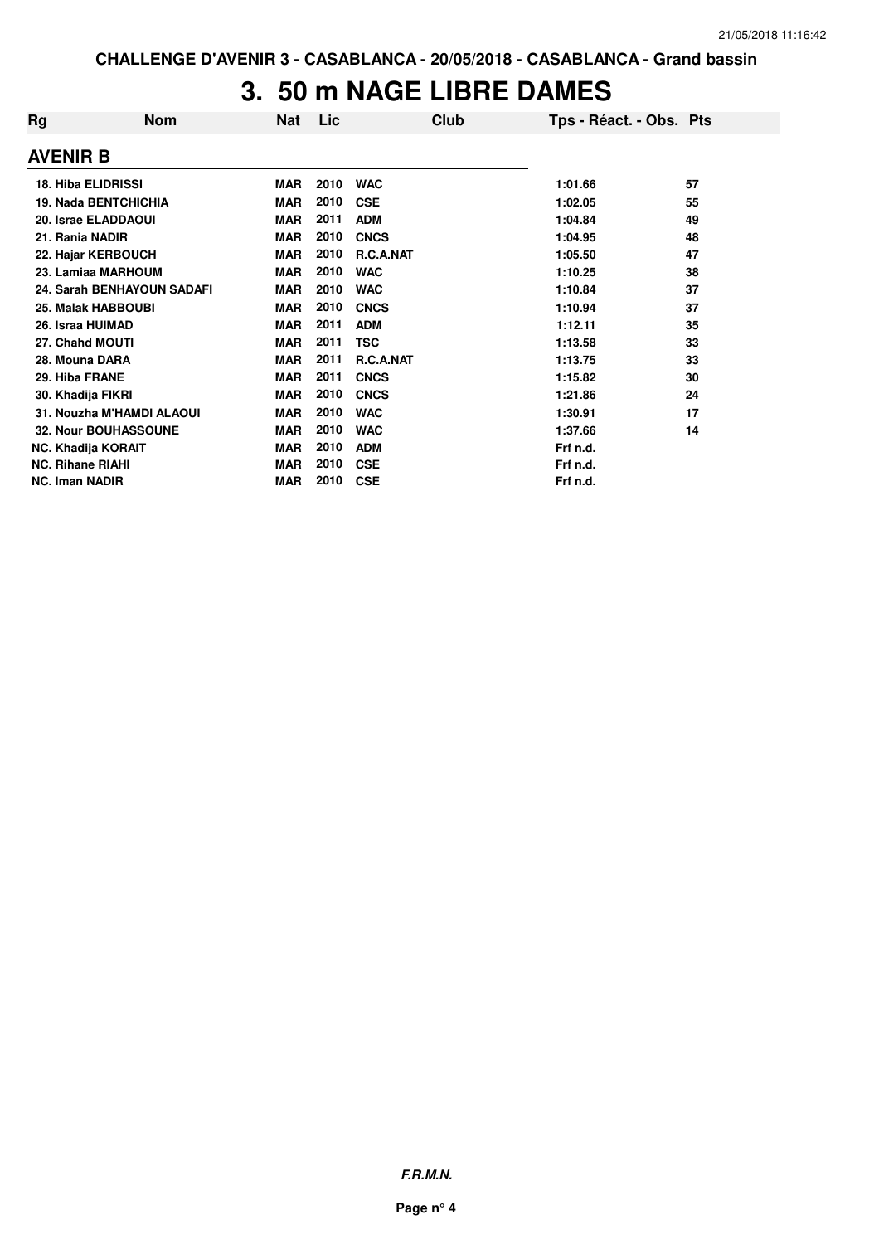# **3. 50 m NAGE LIBRE DAMES**

| Rg                      | <b>Nom</b>                  | Nat        | Lic  | Club        | Tps - Réact. - Obs. Pts |    |
|-------------------------|-----------------------------|------------|------|-------------|-------------------------|----|
| <b>AVENIR B</b>         |                             |            |      |             |                         |    |
|                         | <b>18. Hiba ELIDRISSI</b>   | <b>MAR</b> | 2010 | <b>WAC</b>  | 1:01.66                 | 57 |
|                         | <b>19. Nada BENTCHICHIA</b> | <b>MAR</b> | 2010 | <b>CSE</b>  | 1:02.05                 | 55 |
|                         | 20. Israe ELADDAOUI         | <b>MAR</b> | 2011 | <b>ADM</b>  | 1:04.84                 | 49 |
| 21. Rania NADIR         |                             | <b>MAR</b> | 2010 | <b>CNCS</b> | 1:04.95                 | 48 |
|                         | 22. Hajar KERBOUCH          | <b>MAR</b> | 2010 | R.C.A.NAT   | 1:05.50                 | 47 |
|                         | 23. Lamiaa MARHOUM          | <b>MAR</b> | 2010 | <b>WAC</b>  | 1:10.25                 | 38 |
|                         | 24. Sarah BENHAYOUN SADAFI  | <b>MAR</b> | 2010 | <b>WAC</b>  | 1:10.84                 | 37 |
|                         | 25. Malak HABBOUBI          | <b>MAR</b> | 2010 | <b>CNCS</b> | 1:10.94                 | 37 |
|                         | 26. Israa HUIMAD            | <b>MAR</b> | 2011 | <b>ADM</b>  | 1:12.11                 | 35 |
|                         | 27. Chahd MOUTI             | <b>MAR</b> | 2011 | <b>TSC</b>  | 1:13.58                 | 33 |
| 28. Mouna DARA          |                             | <b>MAR</b> | 2011 | R.C.A.NAT   | 1:13.75                 | 33 |
| 29. Hiba FRANE          |                             | <b>MAR</b> | 2011 | <b>CNCS</b> | 1:15.82                 | 30 |
|                         | 30. Khadija FIKRI           | <b>MAR</b> | 2010 | <b>CNCS</b> | 1:21.86                 | 24 |
|                         | 31. Nouzha M'HAMDI ALAOUI   | <b>MAR</b> | 2010 | <b>WAC</b>  | 1:30.91                 | 17 |
|                         | 32. Nour BOUHASSOUNE        | <b>MAR</b> | 2010 | <b>WAC</b>  | 1:37.66                 | 14 |
|                         | <b>NC. Khadija KORAIT</b>   | <b>MAR</b> | 2010 | <b>ADM</b>  | Frf n.d.                |    |
| <b>NC. Rihane RIAHI</b> |                             | <b>MAR</b> | 2010 | <b>CSE</b>  | Frf n.d.                |    |
| <b>NC. Iman NADIR</b>   |                             | <b>MAR</b> | 2010 | <b>CSE</b>  | Frf n.d.                |    |

**F.R.M.N.**

**Page n° 4**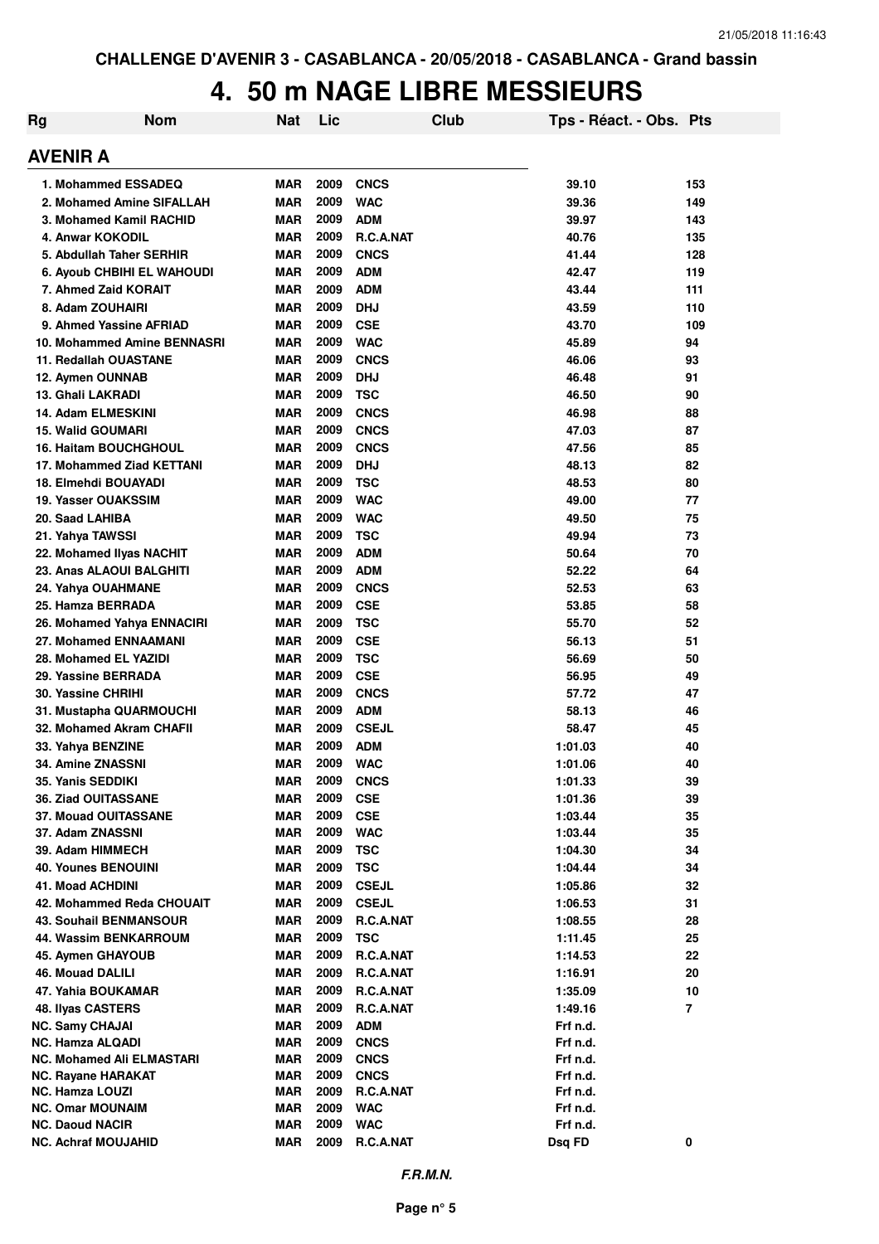## **4. 50 m NAGE LIBRE MESSIEURS**

| <b>Rg</b> | <b>Nom</b>                                    | Nat                      | Lic          | <b>Club</b>                | Tps - Réact. - Obs. Pts |                |
|-----------|-----------------------------------------------|--------------------------|--------------|----------------------------|-------------------------|----------------|
|           | <b>AVENIR A</b>                               |                          |              |                            |                         |                |
|           | 1. Mohammed ESSADEQ                           | <b>MAR</b>               | 2009         | <b>CNCS</b>                | 39.10                   | 153            |
|           | 2. Mohamed Amine SIFALLAH                     | <b>MAR</b>               | 2009         | <b>WAC</b>                 | 39.36                   | 149            |
|           | 3. Mohamed Kamil RACHID                       | <b>MAR</b>               | 2009         | <b>ADM</b>                 | 39.97                   | 143            |
|           | 4. Anwar KOKODIL                              | <b>MAR</b>               | 2009         | <b>R.C.A.NAT</b>           | 40.76                   | 135            |
|           | 5. Abdullah Taher SERHIR                      | <b>MAR</b>               | 2009         | <b>CNCS</b>                | 41.44                   | 128            |
|           | <b>6. Ayoub CHBIHI EL WAHOUDI</b>             | <b>MAR</b>               | 2009         | <b>ADM</b>                 | 42.47                   | 119            |
|           | 7. Ahmed Zaid KORAIT                          | <b>MAR</b>               | 2009         | <b>ADM</b>                 | 43.44                   | 111            |
|           | 8. Adam ZOUHAIRI                              | <b>MAR</b>               | 2009         | <b>DHJ</b>                 | 43.59                   | 110            |
|           | 9. Ahmed Yassine AFRIAD                       | <b>MAR</b>               | 2009         | <b>CSE</b>                 | 43.70                   | 109            |
|           | 10. Mohammed Amine BENNASRI                   | <b>MAR</b>               | 2009         | <b>WAC</b>                 | 45.89                   | 94             |
|           | 11. Redallah OUASTANE                         | <b>MAR</b>               | 2009         | <b>CNCS</b>                | 46.06                   | 93             |
|           | 12. Aymen OUNNAB                              | <b>MAR</b>               | 2009         | <b>DHJ</b>                 | 46.48                   | 91             |
|           | 13. Ghali LAKRADI                             | MAR                      | 2009         | <b>TSC</b>                 | 46.50                   | 90             |
|           | 14. Adam ELMESKINI                            | MAR                      | 2009         | <b>CNCS</b>                | 46.98                   | 88             |
|           | <b>15. Walid GOUMARI</b>                      | <b>MAR</b>               | 2009         | <b>CNCS</b>                | 47.03                   | 87             |
|           | <b>16. Haitam BOUCHGHOUL</b>                  | <b>MAR</b>               | 2009         | <b>CNCS</b>                | 47.56                   | 85             |
|           | 17. Mohammed Ziad KETTANI                     | MAR                      | 2009         | <b>DHJ</b>                 | 48.13                   | 82             |
|           | 18. Elmehdi BOUAYADI                          | <b>MAR</b>               | 2009         | <b>TSC</b>                 | 48.53                   | 80             |
|           | 19. Yasser OUAKSSIM                           | <b>MAR</b>               | 2009         | <b>WAC</b>                 | 49.00                   | 77             |
|           | 20. Saad LAHIBA                               | <b>MAR</b>               | 2009         | <b>WAC</b>                 | 49.50                   | 75             |
|           | 21. Yahya TAWSSI                              | <b>MAR</b>               | 2009         | <b>TSC</b>                 | 49.94                   | 73             |
|           | 22. Mohamed Ilyas NACHIT                      | <b>MAR</b>               | 2009         | <b>ADM</b>                 | 50.64                   | 70             |
|           | 23. Anas ALAOUI BALGHITI                      | <b>MAR</b>               | 2009         | <b>ADM</b>                 | 52.22                   | 64             |
|           | 24. Yahya OUAHMANE                            | <b>MAR</b>               | 2009         | <b>CNCS</b>                | 52.53                   | 63             |
|           | 25. Hamza BERRADA                             | <b>MAR</b>               | 2009         | <b>CSE</b>                 | 53.85                   | 58             |
|           | 26. Mohamed Yahya ENNACIRI                    | <b>MAR</b>               | 2009         | <b>TSC</b>                 | 55.70                   | 52             |
|           | 27. Mohamed ENNAAMANI                         | <b>MAR</b>               | 2009         | <b>CSE</b>                 | 56.13                   | 51             |
|           | 28. Mohamed EL YAZIDI                         | <b>MAR</b>               | 2009         | <b>TSC</b>                 | 56.69                   | 50             |
|           | 29. Yassine BERRADA                           | <b>MAR</b>               | 2009         | <b>CSE</b>                 | 56.95                   | 49             |
|           | 30. Yassine CHRIHI                            | <b>MAR</b>               | 2009<br>2009 | <b>CNCS</b>                | 57.72                   | 47             |
|           | 31. Mustapha QUARMOUCHI                       | <b>MAR</b>               | 2009         | <b>ADM</b>                 | 58.13                   | 46             |
|           | 32. Mohamed Akram CHAFII                      | <b>MAR</b><br><b>MAR</b> | 2009         | <b>CSEJL</b><br><b>ADM</b> | 58.47<br>1:01.03        | 45<br>40       |
|           | 33. Yahya BENZINE<br><b>34. Amine ZNASSNI</b> | <b>MAR</b>               | 2009         | <b>WAC</b>                 | 1:01.06                 | 40             |
|           | 35. Yanis SEDDIKI                             | <b>MAR</b>               | 2009         |                            |                         | 39             |
|           | <b>36. Ziad OUITASSANE</b>                    | <b>MAR</b>               | 2009         | <b>CNCS</b><br><b>CSE</b>  | 1:01.33<br>1:01.36      | 39             |
|           | <b>37. Mouad OUITASSANE</b>                   | <b>MAR</b>               | 2009         | <b>CSE</b>                 | 1:03.44                 | 35             |
|           | 37. Adam ZNASSNI                              | <b>MAR</b>               | 2009         | <b>WAC</b>                 | 1:03.44                 | 35             |
|           | 39. Adam HIMMECH                              | <b>MAR</b>               | 2009         | <b>TSC</b>                 | 1:04.30                 | 34             |
|           | <b>40. Younes BENOUINI</b>                    | <b>MAR</b>               | 2009         | <b>TSC</b>                 | 1:04.44                 | 34             |
|           | <b>41. Moad ACHDINI</b>                       | MAR                      | 2009         | <b>CSEJL</b>               | 1:05.86                 | 32             |
|           | 42. Mohammed Reda CHOUAIT                     | MAR                      | 2009         | <b>CSEJL</b>               | 1:06.53                 | 31             |
|           | <b>43. Souhail BENMANSOUR</b>                 | <b>MAR</b>               | 2009         | R.C.A.NAT                  | 1:08.55                 | 28             |
|           | 44. Wassim BENKARROUM                         | <b>MAR</b>               | 2009         | <b>TSC</b>                 | 1:11.45                 | 25             |
|           | 45. Aymen GHAYOUB                             | <b>MAR</b>               | 2009         | R.C.A.NAT                  | 1:14.53                 | 22             |
|           | <b>46. Mouad DALILI</b>                       | <b>MAR</b>               | 2009         | R.C.A.NAT                  | 1:16.91                 | 20             |
|           | 47. Yahia BOUKAMAR                            | <b>MAR</b>               | 2009         | R.C.A.NAT                  | 1:35.09                 | 10             |
|           | 48. Ilyas CASTERS                             | <b>MAR</b>               | 2009         | R.C.A.NAT                  | 1:49.16                 | $\overline{7}$ |
|           | <b>NC. Samy CHAJAI</b>                        | <b>MAR</b>               | 2009         | <b>ADM</b>                 | Frf n.d.                |                |
|           | NC. Hamza ALQADI                              | <b>MAR</b>               | 2009         | <b>CNCS</b>                | Frf n.d.                |                |
|           | NC. Mohamed Ali ELMASTARI                     | <b>MAR</b>               | 2009         | <b>CNCS</b>                | Frf n.d.                |                |
|           | NC. Rayane HARAKAT                            | <b>MAR</b>               | 2009         | <b>CNCS</b>                | Frf n.d.                |                |
|           | <b>NC. Hamza LOUZI</b>                        | <b>MAR</b>               | 2009         | R.C.A.NAT                  | Frf n.d.                |                |
|           | <b>NC. Omar MOUNAIM</b>                       | <b>MAR</b>               | 2009         | <b>WAC</b>                 | Frf n.d.                |                |
|           | <b>NC. Daoud NACIR</b>                        | <b>MAR</b>               | 2009         | <b>WAC</b>                 | Frf n.d.                |                |
|           | <b>NC. Achraf MOUJAHID</b>                    | <b>MAR</b>               | 2009         | R.C.A.NAT                  | Dsq FD                  | $\pmb{0}$      |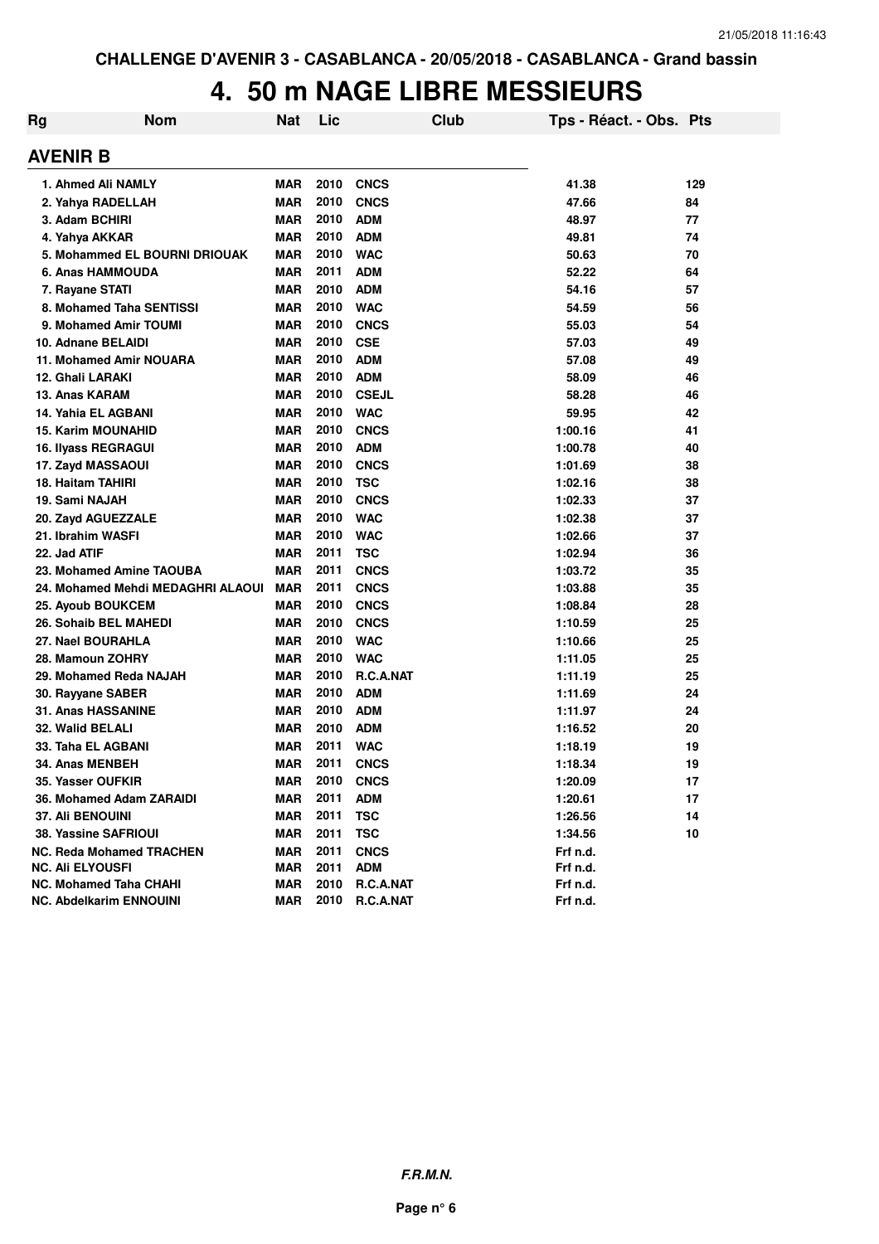### **4. 50 m NAGE LIBRE MESSIEURS**

| Rg | <b>Nom</b>                        | Nat        | Lic  | Club             | Tps - Réact. - Obs. Pts |     |
|----|-----------------------------------|------------|------|------------------|-------------------------|-----|
|    | AVENIR B                          |            |      |                  |                         |     |
|    | 1. Ahmed Ali NAMLY                | <b>MAR</b> | 2010 | <b>CNCS</b>      | 41.38                   | 129 |
|    | 2. Yahya RADELLAH                 | <b>MAR</b> | 2010 | <b>CNCS</b>      | 47.66                   | 84  |
|    | 3. Adam BCHIRI                    | <b>MAR</b> | 2010 | <b>ADM</b>       | 48.97                   | 77  |
|    | 4. Yahya AKKAR                    | <b>MAR</b> | 2010 | <b>ADM</b>       | 49.81                   | 74  |
|    | 5. Mohammed EL BOURNI DRIOUAK     | <b>MAR</b> | 2010 | <b>WAC</b>       | 50.63                   | 70  |
|    | 6. Anas HAMMOUDA                  | <b>MAR</b> | 2011 | <b>ADM</b>       | 52.22                   | 64  |
|    | 7. Rayane STATI                   | <b>MAR</b> | 2010 | <b>ADM</b>       | 54.16                   | 57  |
|    | 8. Mohamed Taha SENTISSI          | <b>MAR</b> | 2010 | <b>WAC</b>       | 54.59                   | 56  |
|    | 9. Mohamed Amir TOUMI             | <b>MAR</b> | 2010 | <b>CNCS</b>      | 55.03                   | 54  |
|    | 10. Adnane BELAIDI                | <b>MAR</b> | 2010 | <b>CSE</b>       | 57.03                   | 49  |
|    | 11. Mohamed Amir NOUARA           | <b>MAR</b> | 2010 | <b>ADM</b>       | 57.08                   | 49  |
|    | 12. Ghali LARAKI                  | <b>MAR</b> | 2010 | <b>ADM</b>       | 58.09                   | 46  |
|    | 13. Anas KARAM                    | <b>MAR</b> | 2010 | <b>CSEJL</b>     | 58.28                   | 46  |
|    | 14. Yahia EL AGBANI               | <b>MAR</b> | 2010 | <b>WAC</b>       | 59.95                   | 42  |
|    | <b>15. Karim MOUNAHID</b>         | <b>MAR</b> | 2010 | <b>CNCS</b>      | 1:00.16                 | 41  |
|    | 16. Ilyass REGRAGUI               | <b>MAR</b> | 2010 | <b>ADM</b>       | 1:00.78                 | 40  |
|    | 17. Zayd MASSAOUI                 | <b>MAR</b> | 2010 | <b>CNCS</b>      | 1:01.69                 | 38  |
|    | 18. Haitam TAHIRI                 | <b>MAR</b> | 2010 | <b>TSC</b>       | 1:02.16                 | 38  |
|    | 19. Sami NAJAH                    | <b>MAR</b> | 2010 | <b>CNCS</b>      | 1:02.33                 | 37  |
|    | 20. Zayd AGUEZZALE                | <b>MAR</b> | 2010 | <b>WAC</b>       | 1:02.38                 | 37  |
|    | 21. Ibrahim WASFI                 | <b>MAR</b> | 2010 | <b>WAC</b>       | 1:02.66                 | 37  |
|    | 22. Jad ATIF                      | <b>MAR</b> | 2011 | <b>TSC</b>       | 1:02.94                 | 36  |
|    | 23. Mohamed Amine TAOUBA          | <b>MAR</b> | 2011 | <b>CNCS</b>      | 1:03.72                 | 35  |
|    | 24. Mohamed Mehdi MEDAGHRI ALAOUI | <b>MAR</b> | 2011 | <b>CNCS</b>      | 1:03.88                 | 35  |
|    | 25. Ayoub BOUKCEM                 | <b>MAR</b> | 2010 | <b>CNCS</b>      | 1:08.84                 | 28  |
|    | 26. Sohaib BEL MAHEDI             | <b>MAR</b> | 2010 | <b>CNCS</b>      | 1:10.59                 | 25  |
|    | 27. Nael BOURAHLA                 | <b>MAR</b> | 2010 | <b>WAC</b>       | 1:10.66                 | 25  |
|    | 28. Mamoun ZOHRY                  | <b>MAR</b> | 2010 | <b>WAC</b>       | 1:11.05                 | 25  |
|    | 29. Mohamed Reda NAJAH            | <b>MAR</b> | 2010 | <b>R.C.A.NAT</b> | 1:11.19                 | 25  |
|    | 30. Rayyane SABER                 | <b>MAR</b> | 2010 | <b>ADM</b>       | 1:11.69                 | 24  |
|    | 31. Anas HASSANINE                | <b>MAR</b> | 2010 | <b>ADM</b>       | 1:11.97                 | 24  |
|    | 32. Walid BELALI                  | <b>MAR</b> | 2010 | <b>ADM</b>       | 1:16.52                 | 20  |
|    | 33. Taha EL AGBANI                | <b>MAR</b> | 2011 | <b>WAC</b>       | 1:18.19                 | 19  |
|    | 34. Anas MENBEH                   | <b>MAR</b> | 2011 | <b>CNCS</b>      | 1:18.34                 | 19  |
|    | 35. Yasser OUFKIR                 | <b>MAR</b> | 2010 | <b>CNCS</b>      | 1:20.09                 | 17  |
|    | 36. Mohamed Adam ZARAIDI          | <b>MAR</b> | 2011 | <b>ADM</b>       | 1:20.61                 | 17  |
|    | <b>37. Ali BENOUINI</b>           | <b>MAR</b> | 2011 | <b>TSC</b>       | 1:26.56                 | 14  |
|    | <b>38. Yassine SAFRIOUI</b>       | <b>MAR</b> | 2011 | <b>TSC</b>       | 1:34.56                 | 10  |
|    | <b>NC. Reda Mohamed TRACHEN</b>   | <b>MAR</b> | 2011 | <b>CNCS</b>      | Frf n.d.                |     |
|    | <b>NC. Ali ELYOUSFI</b>           | <b>MAR</b> | 2011 | <b>ADM</b>       | Frf n.d.                |     |
|    | <b>NC. Mohamed Taha CHAHI</b>     | <b>MAR</b> | 2010 | R.C.A.NAT        | Frf n.d.                |     |
|    | <b>NC. Abdelkarim ENNOUINI</b>    | <b>MAR</b> | 2010 | R.C.A.NAT        | Frf n.d.                |     |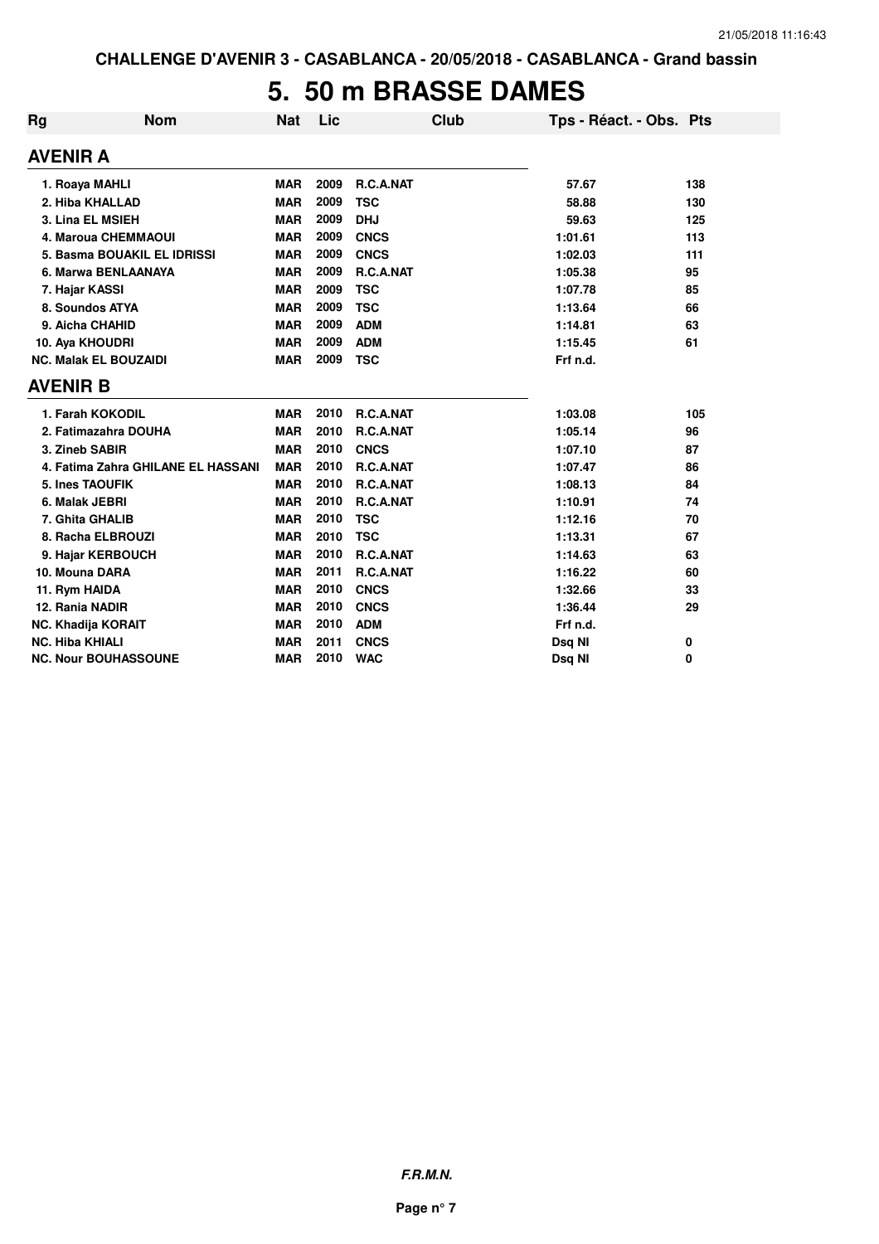## **5. 50 m BRASSE DAMES**

| <b>Rg</b> | <b>Nom</b>                         | <b>Nat</b> | Lic  | <b>Club</b> | Tps - Réact. - Obs. Pts |     |
|-----------|------------------------------------|------------|------|-------------|-------------------------|-----|
|           | <b>AVENIR A</b>                    |            |      |             |                         |     |
|           | 1. Roaya MAHLI                     | <b>MAR</b> | 2009 | R.C.A.NAT   | 57.67                   | 138 |
|           | 2. Hiba KHALLAD                    | <b>MAR</b> | 2009 | <b>TSC</b>  | 58.88                   | 130 |
|           | 3. Lina EL MSIEH                   | <b>MAR</b> | 2009 | <b>DHJ</b>  | 59.63                   | 125 |
|           | 4. Maroua CHEMMAOUI                | <b>MAR</b> | 2009 | <b>CNCS</b> | 1:01.61                 | 113 |
|           | 5. Basma BOUAKIL EL IDRISSI        | <b>MAR</b> | 2009 | <b>CNCS</b> | 1:02.03                 | 111 |
|           | 6. Marwa BENLAANAYA                | <b>MAR</b> | 2009 | R.C.A.NAT   | 1:05.38                 | 95  |
|           | 7. Hajar KASSI                     | <b>MAR</b> | 2009 | <b>TSC</b>  | 1:07.78                 | 85  |
|           | 8. Soundos ATYA                    | <b>MAR</b> | 2009 | <b>TSC</b>  | 1:13.64                 | 66  |
|           | 9. Aicha CHAHID                    | <b>MAR</b> | 2009 | <b>ADM</b>  | 1:14.81                 | 63  |
|           | 10. Aya KHOUDRI                    | <b>MAR</b> | 2009 | <b>ADM</b>  | 1:15.45                 | 61  |
|           | <b>NC. Malak EL BOUZAIDI</b>       | <b>MAR</b> | 2009 | <b>TSC</b>  | Frf n.d.                |     |
|           | <b>AVENIR B</b>                    |            |      |             |                         |     |
|           | 1. Farah KOKODIL                   | <b>MAR</b> | 2010 | R.C.A.NAT   | 1:03.08                 | 105 |
|           | 2. Fatimazahra DOUHA               | <b>MAR</b> | 2010 | R.C.A.NAT   | 1:05.14                 | 96  |
|           | 3. Zineb SABIR                     | <b>MAR</b> | 2010 | <b>CNCS</b> | 1:07.10                 | 87  |
|           | 4. Fatima Zahra GHILANE EL HASSANI | <b>MAR</b> | 2010 | R.C.A.NAT   | 1:07.47                 | 86  |
|           | 5. Ines TAOUFIK                    | <b>MAR</b> | 2010 | R.C.A.NAT   | 1:08.13                 | 84  |
|           | 6. Malak JEBRI                     | <b>MAR</b> | 2010 | R.C.A.NAT   | 1:10.91                 | 74  |
|           | 7. Ghita GHALIB                    | <b>MAR</b> | 2010 | <b>TSC</b>  | 1:12.16                 | 70  |
|           | 8. Racha ELBROUZI                  | <b>MAR</b> | 2010 | <b>TSC</b>  | 1:13.31                 | 67  |
|           | 9. Hajar KERBOUCH                  | <b>MAR</b> | 2010 | R.C.A.NAT   | 1:14.63                 | 63  |
|           | 10. Mouna DARA                     | <b>MAR</b> | 2011 | R.C.A.NAT   | 1:16.22                 | 60  |
|           | 11. Rym HAIDA                      | <b>MAR</b> | 2010 | <b>CNCS</b> | 1:32.66                 | 33  |
|           | 12. Rania NADIR                    | <b>MAR</b> | 2010 | <b>CNCS</b> | 1:36.44                 | 29  |
|           | <b>NC. Khadija KORAIT</b>          | <b>MAR</b> | 2010 | <b>ADM</b>  | Frf n.d.                |     |
|           | <b>NC. Hiba KHIALI</b>             | <b>MAR</b> | 2011 | <b>CNCS</b> | Dsq NI                  | 0   |
|           | <b>NC. Nour BOUHASSOUNE</b>        | <b>MAR</b> | 2010 | <b>WAC</b>  | Dsq NI                  | 0   |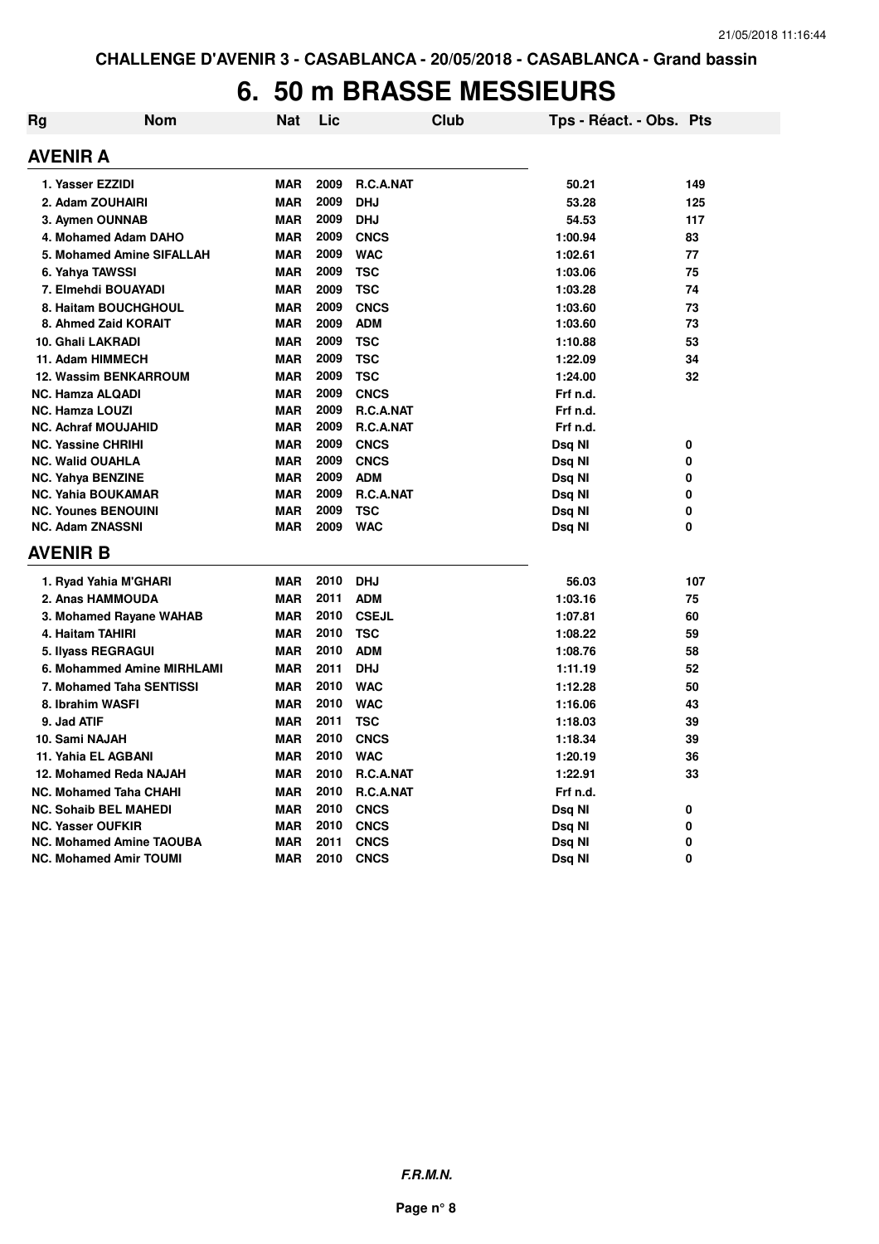### **6. 50 m BRASSE MESSIEURS**

| Rg | Nom                             | <b>Nat</b> | Lic  | <b>Club</b>      | Tps - Réact. - Obs. Pts |     |
|----|---------------------------------|------------|------|------------------|-------------------------|-----|
|    | <b>AVENIR A</b>                 |            |      |                  |                         |     |
|    | 1. Yasser EZZIDI                | <b>MAR</b> | 2009 | R.C.A.NAT        | 50.21                   | 149 |
|    | 2. Adam ZOUHAIRI                | <b>MAR</b> | 2009 | <b>DHJ</b>       | 53.28                   | 125 |
|    | 3. Aymen OUNNAB                 | <b>MAR</b> | 2009 | <b>DHJ</b>       | 54.53                   | 117 |
|    | 4. Mohamed Adam DAHO            | <b>MAR</b> | 2009 | <b>CNCS</b>      | 1:00.94                 | 83  |
|    | 5. Mohamed Amine SIFALLAH       | <b>MAR</b> | 2009 | <b>WAC</b>       | 1:02.61                 | 77  |
|    | 6. Yahya TAWSSI                 | <b>MAR</b> | 2009 | <b>TSC</b>       | 1:03.06                 | 75  |
|    | 7. Elmehdi BOUAYADI             | <b>MAR</b> | 2009 | <b>TSC</b>       | 1:03.28                 | 74  |
|    | 8. Haitam BOUCHGHOUL            | <b>MAR</b> | 2009 | <b>CNCS</b>      | 1:03.60                 | 73  |
|    | 8. Ahmed Zaid KORAIT            | <b>MAR</b> | 2009 | <b>ADM</b>       | 1:03.60                 | 73  |
|    | 10. Ghali LAKRADI               | <b>MAR</b> | 2009 | <b>TSC</b>       | 1:10.88                 | 53  |
|    | 11. Adam HIMMECH                | <b>MAR</b> | 2009 | <b>TSC</b>       | 1:22.09                 | 34  |
|    | <b>12. Wassim BENKARROUM</b>    | <b>MAR</b> | 2009 | <b>TSC</b>       | 1:24.00                 | 32  |
|    | <b>NC. Hamza ALQADI</b>         | <b>MAR</b> | 2009 | <b>CNCS</b>      | Frf n.d.                |     |
|    | <b>NC. Hamza LOUZI</b>          | <b>MAR</b> | 2009 | <b>R.C.A.NAT</b> | Frf n.d.                |     |
|    | <b>NC. Achraf MOUJAHID</b>      | <b>MAR</b> | 2009 | R.C.A.NAT        | Frf n.d.                |     |
|    | <b>NC. Yassine CHRIHI</b>       | <b>MAR</b> | 2009 | <b>CNCS</b>      | Dsq NI                  | 0   |
|    | <b>NC. Walid OUAHLA</b>         | <b>MAR</b> | 2009 | <b>CNCS</b>      | Dsq NI                  | 0   |
|    | <b>NC. Yahya BENZINE</b>        | <b>MAR</b> | 2009 | <b>ADM</b>       | Dsq NI                  | 0   |
|    | <b>NC. Yahia BOUKAMAR</b>       | <b>MAR</b> | 2009 | R.C.A.NAT        | Dsq NI                  | 0   |
|    | <b>NC. Younes BENOUINI</b>      | <b>MAR</b> | 2009 | <b>TSC</b>       | Dsq NI                  | 0   |
|    | <b>NC. Adam ZNASSNI</b>         | <b>MAR</b> | 2009 | <b>WAC</b>       | Dsq Nl                  | 0   |
|    | AVENIR B                        |            |      |                  |                         |     |
|    | 1. Ryad Yahia M'GHARI           | <b>MAR</b> | 2010 | <b>DHJ</b>       | 56.03                   | 107 |
|    | 2. Anas HAMMOUDA                | <b>MAR</b> | 2011 | <b>ADM</b>       | 1:03.16                 | 75  |
|    | 3. Mohamed Rayane WAHAB         | <b>MAR</b> | 2010 | <b>CSEJL</b>     | 1:07.81                 | 60  |
|    | 4. Haitam TAHIRI                | <b>MAR</b> | 2010 | <b>TSC</b>       | 1:08.22                 | 59  |
|    | 5. Ilyass REGRAGUI              | <b>MAR</b> | 2010 | <b>ADM</b>       | 1:08.76                 | 58  |
|    | 6. Mohammed Amine MIRHLAMI      | <b>MAR</b> | 2011 | <b>DHJ</b>       | 1:11.19                 | 52  |
|    | 7. Mohamed Taha SENTISSI        | <b>MAR</b> | 2010 | <b>WAC</b>       | 1:12.28                 | 50  |
|    | 8. Ibrahim WASFI                | <b>MAR</b> | 2010 | <b>WAC</b>       | 1:16.06                 | 43  |
|    | 9. Jad ATIF                     | <b>MAR</b> | 2011 | <b>TSC</b>       | 1:18.03                 | 39  |
|    | 10. Sami NAJAH                  | <b>MAR</b> | 2010 | <b>CNCS</b>      | 1:18.34                 | 39  |
|    | 11. Yahia EL AGBANI             | <b>MAR</b> | 2010 | <b>WAC</b>       | 1:20.19                 | 36  |
|    | 12. Mohamed Reda NAJAH          | <b>MAR</b> | 2010 | R.C.A.NAT        | 1:22.91                 | 33  |
|    | <b>NC. Mohamed Taha CHAHI</b>   | <b>MAR</b> | 2010 | R.C.A.NAT        | Frf n.d.                |     |
|    | <b>NC. Sohaib BEL MAHEDI</b>    | <b>MAR</b> | 2010 | <b>CNCS</b>      | Dsq NI                  | 0   |
|    | <b>NC. Yasser OUFKIR</b>        | <b>MAR</b> | 2010 | <b>CNCS</b>      | Dsq NI                  | 0   |
|    | <b>NC. Mohamed Amine TAOUBA</b> | <b>MAR</b> | 2011 | <b>CNCS</b>      | Dsq NI                  | 0   |
|    | <b>NC. Mohamed Amir TOUMI</b>   | <b>MAR</b> | 2010 | <b>CNCS</b>      | Dsq NI                  | 0   |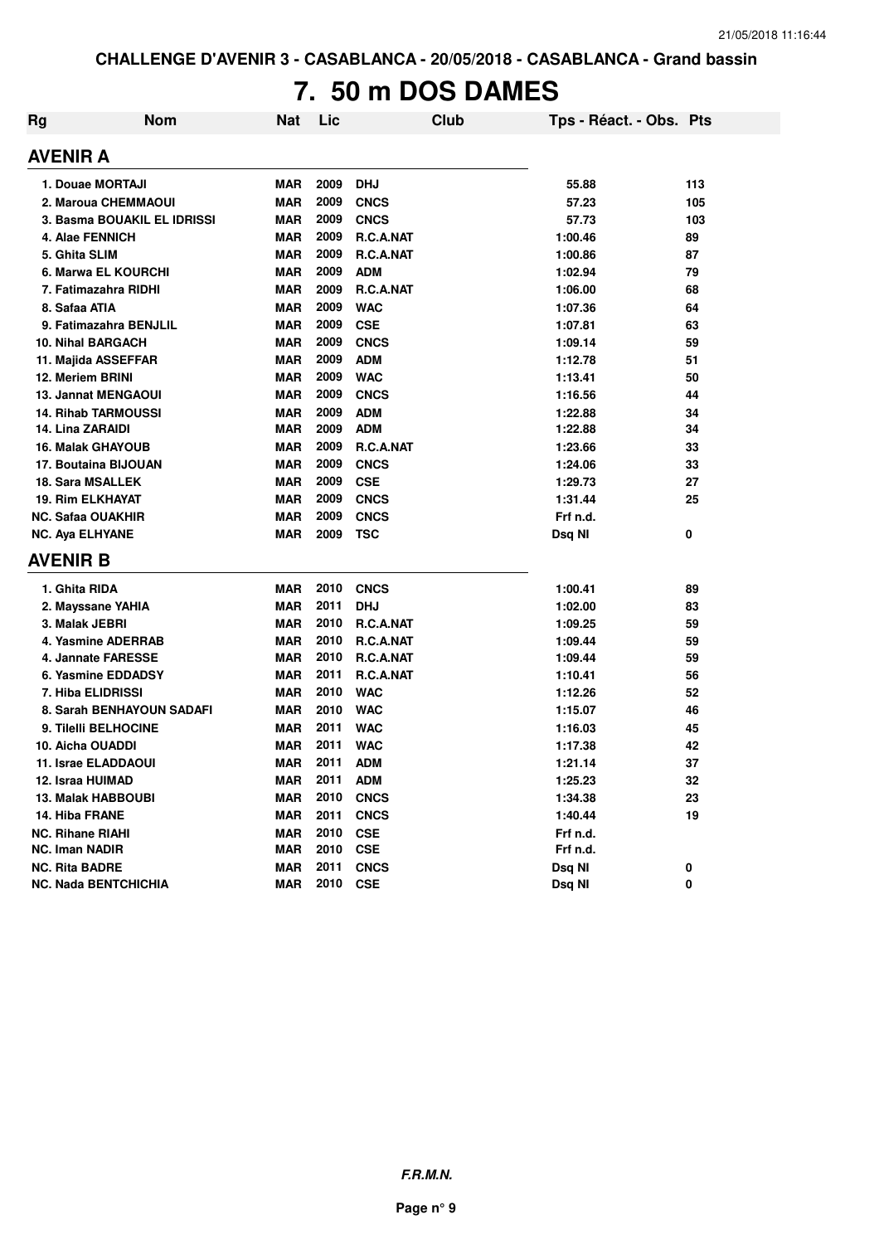# **7. 50 m DOS DAMES**

| Rg | <b>Nom</b>                  | <b>Nat</b> | Lic  | Club        | Tps - Réact. - Obs. Pts |     |
|----|-----------------------------|------------|------|-------------|-------------------------|-----|
|    | AVENIR A                    |            |      |             |                         |     |
|    | 1. Douae MORTAJI            | <b>MAR</b> | 2009 | <b>DHJ</b>  | 55.88                   | 113 |
|    | 2. Maroua CHEMMAOUI         | <b>MAR</b> | 2009 | <b>CNCS</b> | 57.23                   | 105 |
|    | 3. Basma BOUAKIL EL IDRISSI | <b>MAR</b> | 2009 | <b>CNCS</b> | 57.73                   | 103 |
|    | 4. Alae FENNICH             | <b>MAR</b> | 2009 | R.C.A.NAT   | 1:00.46                 | 89  |
|    | 5. Ghita SLIM               | <b>MAR</b> | 2009 | R.C.A.NAT   | 1:00.86                 | 87  |
|    | 6. Marwa EL KOURCHI         | <b>MAR</b> | 2009 | <b>ADM</b>  | 1:02.94                 | 79  |
|    | 7. Fatimazahra RIDHI        | <b>MAR</b> | 2009 | R.C.A.NAT   | 1:06.00                 | 68  |
|    | 8. Safaa ATIA               | <b>MAR</b> | 2009 | <b>WAC</b>  | 1:07.36                 | 64  |
|    | 9. Fatimazahra BENJLIL      | <b>MAR</b> | 2009 | <b>CSE</b>  | 1:07.81                 | 63  |
|    | <b>10. Nihal BARGACH</b>    | <b>MAR</b> | 2009 | <b>CNCS</b> | 1:09.14                 | 59  |
|    | 11. Majida ASSEFFAR         | MAR        | 2009 | <b>ADM</b>  | 1:12.78                 | 51  |
|    | 12. Meriem BRINI            | <b>MAR</b> | 2009 | <b>WAC</b>  | 1:13.41                 | 50  |
|    | 13. Jannat MENGAOUI         | <b>MAR</b> | 2009 | <b>CNCS</b> | 1:16.56                 | 44  |
|    | <b>14. Rihab TARMOUSSI</b>  | <b>MAR</b> | 2009 | <b>ADM</b>  | 1:22.88                 | 34  |
|    | <b>14. Lina ZARAIDI</b>     | <b>MAR</b> | 2009 | <b>ADM</b>  | 1:22.88                 | 34  |
|    | <b>16. Malak GHAYOUB</b>    | <b>MAR</b> | 2009 | R.C.A.NAT   | 1:23.66                 | 33  |
|    | 17. Boutaina BIJOUAN        | <b>MAR</b> | 2009 | <b>CNCS</b> | 1:24.06                 | 33  |
|    | <b>18. Sara MSALLEK</b>     | <b>MAR</b> | 2009 | <b>CSE</b>  | 1:29.73                 | 27  |
|    | <b>19. Rim ELKHAYAT</b>     | MAR        | 2009 | <b>CNCS</b> | 1:31.44                 | 25  |
|    | <b>NC. Safaa OUAKHIR</b>    | <b>MAR</b> | 2009 | <b>CNCS</b> | Frf n.d.                |     |
|    | <b>NC. Aya ELHYANE</b>      | <b>MAR</b> | 2009 | <b>TSC</b>  | Dsq NI                  | 0   |
|    | AVENIR B                    |            |      |             |                         |     |
|    | 1. Ghita RIDA               | <b>MAR</b> | 2010 | <b>CNCS</b> | 1:00.41                 | 89  |
|    | 2. Mayssane YAHIA           | MAR        | 2011 | <b>DHJ</b>  | 1:02.00                 | 83  |
|    | 3. Malak JEBRI              | <b>MAR</b> | 2010 | R.C.A.NAT   | 1:09.25                 | 59  |
|    | 4. Yasmine ADERRAB          | <b>MAR</b> | 2010 | R.C.A.NAT   | 1:09.44                 | 59  |
|    | 4. Jannate FARESSE          | <b>MAR</b> | 2010 | R.C.A.NAT   | 1:09.44                 | 59  |
|    | 6. Yasmine EDDADSY          | <b>MAR</b> | 2011 | R.C.A.NAT   | 1:10.41                 | 56  |
|    | 7. Hiba ELIDRISSI           | <b>MAR</b> | 2010 | <b>WAC</b>  | 1:12.26                 | 52  |
|    | 8. Sarah BENHAYOUN SADAFI   | <b>MAR</b> | 2010 | <b>WAC</b>  | 1:15.07                 | 46  |
|    | 9. Tilelli BELHOCINE        | MAR        | 2011 | <b>WAC</b>  | 1:16.03                 | 45  |
|    | 10. Aicha OUADDI            | MAR        | 2011 | <b>WAC</b>  | 1:17.38                 | 42  |
|    | 11. Israe ELADDAOUI         | <b>MAR</b> | 2011 | <b>ADM</b>  | 1:21.14                 | 37  |
|    | 12. Israa HUIMAD            | <b>MAR</b> | 2011 | <b>ADM</b>  | 1:25.23                 | 32  |
|    | <b>13. Malak HABBOUBI</b>   | MAR        | 2010 | <b>CNCS</b> | 1:34.38                 | 23  |
|    | 14. Hiba FRANE              | <b>MAR</b> | 2011 | <b>CNCS</b> | 1:40.44                 | 19  |
|    | NC. Rihane RIAHI            | MAR        | 2010 | <b>CSE</b>  | Frf n.d.                |     |
|    | <b>NC. Iman NADIR</b>       | <b>MAR</b> | 2010 | <b>CSE</b>  | Frf n.d.                |     |
|    | <b>NC. Rita BADRE</b>       | <b>MAR</b> | 2011 | <b>CNCS</b> | Dsq NI                  | 0   |
|    | <b>NC. Nada BENTCHICHIA</b> | <b>MAR</b> | 2010 | <b>CSE</b>  | Dsq NI                  | 0   |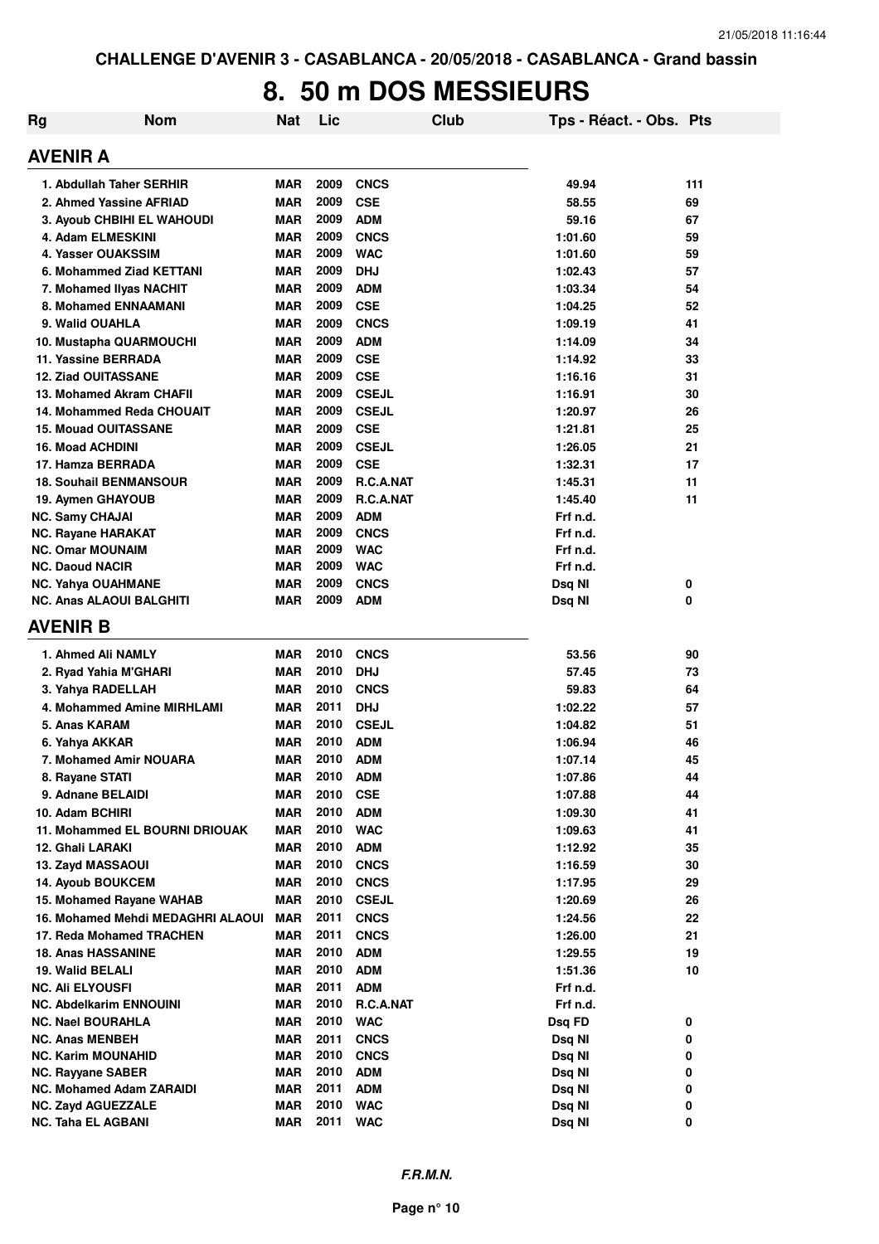# **8. 50 m DOS MESSIEURS**

| Rg | <b>Nom</b>                        | <b>Nat</b> | Lic  |                  | Club | Tps - Réact. - Obs. Pts |     |
|----|-----------------------------------|------------|------|------------------|------|-------------------------|-----|
|    | <b>AVENIR A</b>                   |            |      |                  |      |                         |     |
|    | 1. Abdullah Taher SERHIR          | MAR        | 2009 | <b>CNCS</b>      |      | 49.94                   | 111 |
|    | 2. Ahmed Yassine AFRIAD           | <b>MAR</b> | 2009 | <b>CSE</b>       |      | 58.55                   | 69  |
|    | <b>3. Ayoub CHBIHI EL WAHOUDI</b> | <b>MAR</b> | 2009 | <b>ADM</b>       |      | 59.16                   | 67  |
|    | 4. Adam ELMESKINI                 | <b>MAR</b> | 2009 | <b>CNCS</b>      |      | 1:01.60                 | 59  |
|    | 4. Yasser OUAKSSIM                | <b>MAR</b> | 2009 | <b>WAC</b>       |      | 1:01.60                 | 59  |
|    | 6. Mohammed Ziad KETTANI          | <b>MAR</b> | 2009 | <b>DHJ</b>       |      | 1:02.43                 | 57  |
|    | 7. Mohamed IIvas NACHIT           | <b>MAR</b> | 2009 | <b>ADM</b>       |      | 1:03.34                 | 54  |
|    | 8. Mohamed ENNAAMANI              | <b>MAR</b> | 2009 | <b>CSE</b>       |      | 1:04.25                 | 52  |
|    | 9. Walid OUAHLA                   | <b>MAR</b> | 2009 | <b>CNCS</b>      |      | 1:09.19                 | 41  |
|    | 10. Mustapha QUARMOUCHI           | <b>MAR</b> | 2009 | <b>ADM</b>       |      | 1:14.09                 | 34  |
|    | 11. Yassine BERRADA               | <b>MAR</b> | 2009 | <b>CSE</b>       |      | 1:14.92                 | 33  |
|    | <b>12. Ziad OUITASSANE</b>        | <b>MAR</b> | 2009 | <b>CSE</b>       |      | 1:16.16                 | 31  |
|    | 13. Mohamed Akram CHAFII          | <b>MAR</b> | 2009 | <b>CSEJL</b>     |      | 1:16.91                 | 30  |
|    | 14. Mohammed Reda CHOUAIT         | <b>MAR</b> | 2009 | <b>CSEJL</b>     |      | 1:20.97                 | 26  |
|    | <b>15. Mouad OUITASSANE</b>       | <b>MAR</b> | 2009 | <b>CSE</b>       |      | 1:21.81                 | 25  |
|    | <b>16. Moad ACHDINI</b>           | <b>MAR</b> | 2009 | <b>CSEJL</b>     |      | 1:26.05                 | 21  |
|    | 17. Hamza BERRADA                 | <b>MAR</b> | 2009 | <b>CSE</b>       |      | 1:32.31                 | 17  |
|    |                                   |            |      |                  |      |                         |     |
|    | <b>18. Souhail BENMANSOUR</b>     | <b>MAR</b> | 2009 | <b>R.C.A.NAT</b> |      | 1:45.31                 | 11  |
|    | 19. Aymen GHAYOUB                 | <b>MAR</b> | 2009 | R.C.A.NAT        |      | 1:45.40                 | 11  |
|    | <b>NC. Samy CHAJAI</b>            | <b>MAR</b> | 2009 | <b>ADM</b>       |      | Frf n.d.                |     |
|    | <b>NC. Rayane HARAKAT</b>         | <b>MAR</b> | 2009 | <b>CNCS</b>      |      | Frf n.d.                |     |
|    | <b>NC. Omar MOUNAIM</b>           | <b>MAR</b> | 2009 | <b>WAC</b>       |      | Frf n.d.                |     |
|    | <b>NC. Daoud NACIR</b>            | <b>MAR</b> | 2009 | <b>WAC</b>       |      | Frf n.d.                |     |
|    | <b>NC. Yahya OUAHMANE</b>         | <b>MAR</b> | 2009 | <b>CNCS</b>      |      | Dsq NI                  | 0   |
|    | <b>NC. Anas ALAOUI BALGHITI</b>   | <b>MAR</b> | 2009 | <b>ADM</b>       |      | Dsq NI                  | 0   |
|    | <b>AVENIR B</b>                   |            |      |                  |      |                         |     |
|    | 1. Ahmed Ali NAMLY                | <b>MAR</b> | 2010 | <b>CNCS</b>      |      | 53.56                   | 90  |
|    | 2. Ryad Yahia M'GHARI             | <b>MAR</b> | 2010 | <b>DHJ</b>       |      | 57.45                   | 73  |
|    | 3. Yahya RADELLAH                 | MAR        | 2010 | <b>CNCS</b>      |      | 59.83                   | 64  |
|    | 4. Mohammed Amine MIRHLAMI        | MAR        | 2011 | <b>DHJ</b>       |      | 1:02.22                 | 57  |
|    | 5. Anas KARAM                     | <b>MAR</b> | 2010 | <b>CSEJL</b>     |      | 1:04.82                 | 51  |
|    | 6. Yahya AKKAR                    | <b>MAR</b> | 2010 | <b>ADM</b>       |      | 1:06.94                 | 46  |
|    | 7. Mohamed Amir NOUARA            | <b>MAR</b> | 2010 | <b>ADM</b>       |      | 1:07.14                 | 45  |
|    | 8. Rayane STATI                   | <b>MAR</b> | 2010 | <b>ADM</b>       |      | 1:07.86                 | 44  |
|    | 9. Adnane BELAIDI                 | <b>MAR</b> | 2010 | <b>CSE</b>       |      | 1:07.88                 | 44  |
|    | 10. Adam BCHIRI                   | <b>MAR</b> | 2010 | <b>ADM</b>       |      | 1:09.30                 | 41  |
|    | 11. Mohammed EL BOURNI DRIOUAK    | MAR        | 2010 | <b>WAC</b>       |      | 1:09.63                 | 41  |
|    | 12. Ghali LARAKI                  | <b>MAR</b> | 2010 | <b>ADM</b>       |      | 1:12.92                 | 35  |
|    | 13. Zayd MASSAOUI                 | MAR        | 2010 | <b>CNCS</b>      |      | 1:16.59                 | 30  |
|    | <b>14. Ayoub BOUKCEM</b>          | MAR        | 2010 | <b>CNCS</b>      |      | 1:17.95                 | 29  |
|    | 15. Mohamed Rayane WAHAB          | <b>MAR</b> | 2010 | <b>CSEJL</b>     |      | 1:20.69                 | 26  |
|    | 16. Mohamed Mehdi MEDAGHRI ALAOUI | <b>MAR</b> | 2011 | <b>CNCS</b>      |      | 1:24.56                 | 22  |
|    | 17. Reda Mohamed TRACHEN          | MAR        | 2011 | <b>CNCS</b>      |      | 1:26.00                 | 21  |
|    | <b>18. Anas HASSANINE</b>         | <b>MAR</b> | 2010 |                  |      |                         |     |
|    |                                   |            |      | <b>ADM</b>       |      | 1:29.55                 | 19  |
|    | 19. Walid BELALI                  | <b>MAR</b> | 2010 | <b>ADM</b>       |      | 1:51.36                 | 10  |
|    | NC. Ali ELYOUSFI                  | <b>MAR</b> | 2011 | <b>ADM</b>       |      | Frf n.d.                |     |
|    | NC. Abdelkarim ENNOUINI           | <b>MAR</b> | 2010 | R.C.A.NAT        |      | Frf n.d.                |     |
|    | <b>NC. Nael BOURAHLA</b>          | <b>MAR</b> | 2010 | <b>WAC</b>       |      | Dsq FD                  | 0   |
|    | NC. Anas MENBEH                   | <b>MAR</b> | 2011 | <b>CNCS</b>      |      | Dsq NI                  | 0   |
|    | NC. Karim MOUNAHID                | MAR        | 2010 | <b>CNCS</b>      |      | Dsq NI                  | 0   |
|    | <b>NC. Rayyane SABER</b>          | MAR        | 2010 | <b>ADM</b>       |      | Dsq NI                  | 0   |
|    | <b>NC. Mohamed Adam ZARAIDI</b>   | <b>MAR</b> | 2011 | <b>ADM</b>       |      | Dsq NI                  | 0   |
|    | <b>NC. Zayd AGUEZZALE</b>         | <b>MAR</b> | 2010 | <b>WAC</b>       |      | Dsq NI                  | 0   |
|    | NC. Taha EL AGBANI                | <b>MAR</b> | 2011 | <b>WAC</b>       |      | Dsq NI                  | 0   |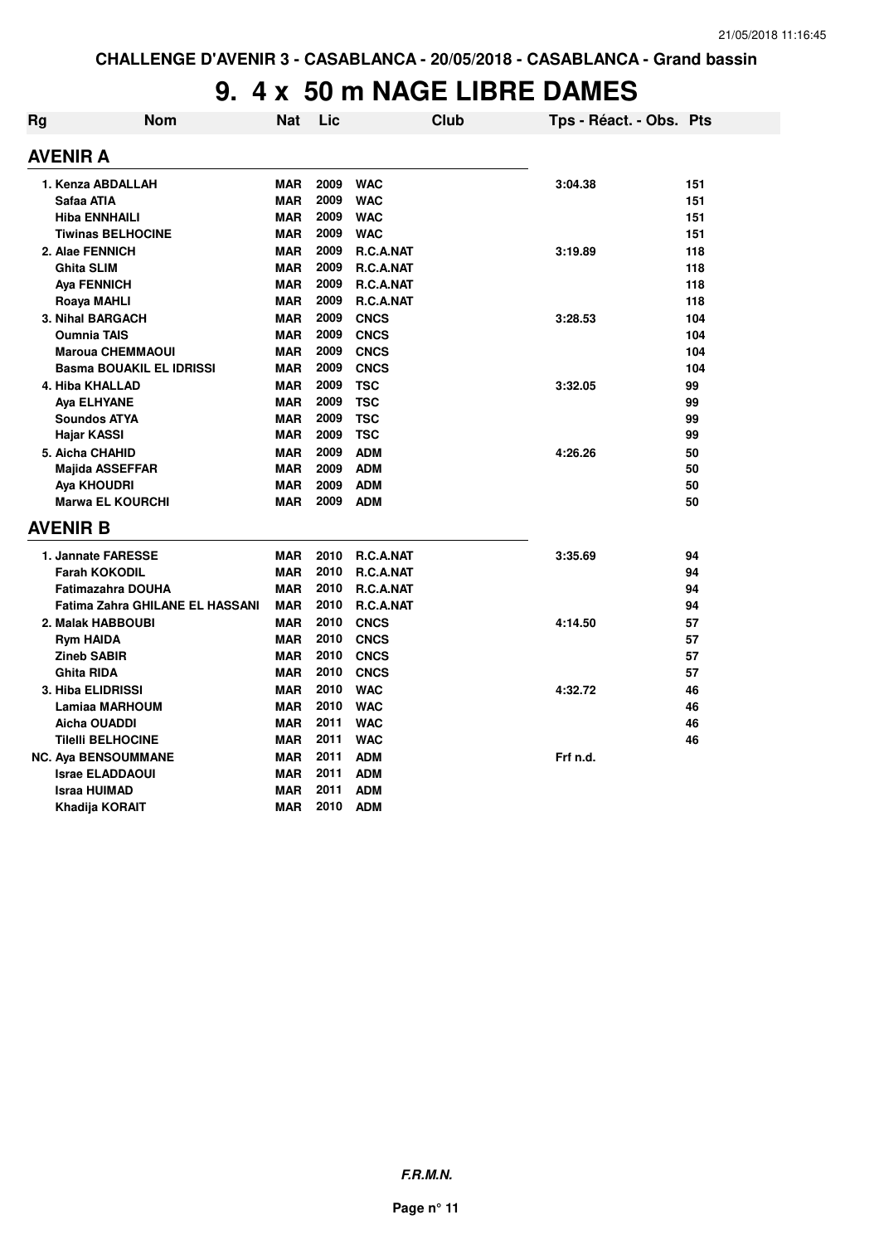# **9. 4 x 50 m NAGE LIBRE DAMES**

| Rg | <b>Nom</b>                             | Nat        | Lic  |             | <b>Club</b> | Tps - Réact. - Obs. Pts |     |
|----|----------------------------------------|------------|------|-------------|-------------|-------------------------|-----|
|    | AVENIR A                               |            |      |             |             |                         |     |
|    | 1. Kenza ABDALLAH                      | MAR        | 2009 | <b>WAC</b>  |             | 3:04.38                 | 151 |
|    | Safaa ATIA                             | <b>MAR</b> | 2009 | <b>WAC</b>  |             |                         | 151 |
|    | <b>Hiba ENNHAILI</b>                   | <b>MAR</b> | 2009 | <b>WAC</b>  |             |                         | 151 |
|    | <b>Tiwinas BELHOCINE</b>               | <b>MAR</b> | 2009 | <b>WAC</b>  |             |                         | 151 |
|    | 2. Alae FENNICH                        | <b>MAR</b> | 2009 | R.C.A.NAT   |             | 3:19.89                 | 118 |
|    | <b>Ghita SLIM</b>                      | <b>MAR</b> | 2009 | R.C.A.NAT   |             |                         | 118 |
|    | <b>Aya FENNICH</b>                     | <b>MAR</b> | 2009 | R.C.A.NAT   |             |                         | 118 |
|    | Roaya MAHLI                            | <b>MAR</b> | 2009 | R.C.A.NAT   |             |                         | 118 |
|    | 3. Nihal BARGACH                       | <b>MAR</b> | 2009 | <b>CNCS</b> |             | 3:28.53                 | 104 |
|    | <b>Oumnia TAIS</b>                     | <b>MAR</b> | 2009 | <b>CNCS</b> |             |                         | 104 |
|    | <b>Maroua CHEMMAOUI</b>                | <b>MAR</b> | 2009 | <b>CNCS</b> |             |                         | 104 |
|    | <b>Basma BOUAKIL EL IDRISSI</b>        | <b>MAR</b> | 2009 | <b>CNCS</b> |             |                         | 104 |
|    | 4. Hiba KHALLAD                        | <b>MAR</b> | 2009 | <b>TSC</b>  |             | 3:32.05                 | 99  |
|    | Aya ELHYANE                            | <b>MAR</b> | 2009 | <b>TSC</b>  |             |                         | 99  |
|    | <b>Soundos ATYA</b>                    | <b>MAR</b> | 2009 | <b>TSC</b>  |             |                         | 99  |
|    | Hajar KASSI                            | <b>MAR</b> | 2009 | <b>TSC</b>  |             |                         | 99  |
|    | 5. Aicha CHAHID                        | <b>MAR</b> | 2009 | <b>ADM</b>  |             | 4:26.26                 | 50  |
|    | <b>Majida ASSEFFAR</b>                 | <b>MAR</b> | 2009 | <b>ADM</b>  |             |                         | 50  |
|    | <b>Aya KHOUDRI</b>                     | <b>MAR</b> | 2009 | <b>ADM</b>  |             |                         | 50  |
|    | <b>Marwa EL KOURCHI</b>                | <b>MAR</b> | 2009 | <b>ADM</b>  |             |                         | 50  |
|    | <b>AVENIR B</b>                        |            |      |             |             |                         |     |
|    | 1. Jannate FARESSE                     | <b>MAR</b> | 2010 | R.C.A.NAT   |             | 3:35.69                 | 94  |
|    | <b>Farah KOKODIL</b>                   | <b>MAR</b> | 2010 | R.C.A.NAT   |             |                         | 94  |
|    | <b>Fatimazahra DOUHA</b>               | <b>MAR</b> | 2010 | R.C.A.NAT   |             |                         | 94  |
|    | <b>Fatima Zahra GHILANE EL HASSANI</b> | <b>MAR</b> | 2010 | R.C.A.NAT   |             |                         | 94  |
|    | 2. Malak HABBOUBI                      | <b>MAR</b> | 2010 | <b>CNCS</b> |             | 4:14.50                 | 57  |
|    | <b>Rym HAIDA</b>                       | <b>MAR</b> | 2010 | <b>CNCS</b> |             |                         | 57  |
|    | <b>Zineb SABIR</b>                     | <b>MAR</b> | 2010 | <b>CNCS</b> |             |                         | 57  |
|    | Ghita RIDA                             | <b>MAR</b> | 2010 | <b>CNCS</b> |             |                         | 57  |
|    | <b>3. Hiba ELIDRISSI</b>               | <b>MAR</b> | 2010 | <b>WAC</b>  |             | 4:32.72                 | 46  |
|    | <b>Lamiaa MARHOUM</b>                  | <b>MAR</b> | 2010 | <b>WAC</b>  |             |                         | 46  |
|    | Aicha OUADDI                           | <b>MAR</b> | 2011 | <b>WAC</b>  |             |                         | 46  |
|    | <b>Tilelli BELHOCINE</b>               | <b>MAR</b> | 2011 | <b>WAC</b>  |             |                         | 46  |
|    | <b>NC. Aya BENSOUMMANE</b>             | <b>MAR</b> | 2011 | <b>ADM</b>  |             | Frf n.d.                |     |
|    | <b>Israe ELADDAOUI</b>                 | <b>MAR</b> | 2011 | <b>ADM</b>  |             |                         |     |
|    | <b>Israa HUIMAD</b>                    | <b>MAR</b> | 2011 | <b>ADM</b>  |             |                         |     |
|    | Khadija KORAIT                         | <b>MAR</b> | 2010 | <b>ADM</b>  |             |                         |     |
|    |                                        |            |      |             |             |                         |     |